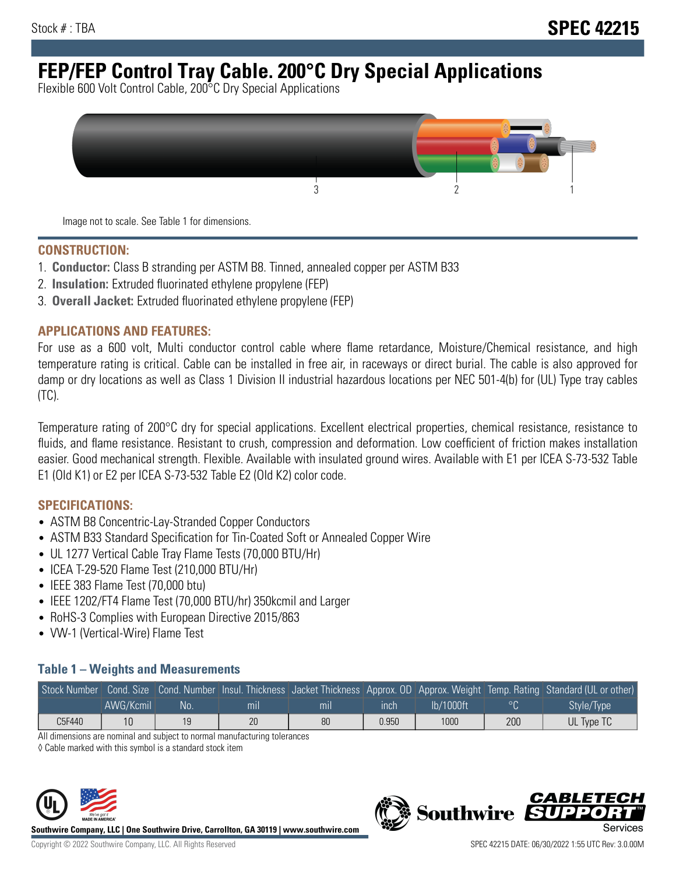# **FEP/FEP Control Tray Cable. 200°C Dry Special Applications**

Flexible 600 Volt Control Cable, 200°C Dry Special Applications



Image not to scale. See Table 1 for dimensions.

#### **CONSTRUCTION:**

- 1. **Conductor:** Class B stranding per ASTM B8. Tinned, annealed copper per ASTM B33
- 2. **Insulation:** Extruded fluorinated ethylene propylene (FEP)
- 3. **Overall Jacket:** Extruded fluorinated ethylene propylene (FEP)

## **APPLICATIONS AND FEATURES:**

For use as a 600 volt, Multi conductor control cable where flame retardance, Moisture/Chemical resistance, and high temperature rating is critical. Cable can be installed in free air, in raceways or direct burial. The cable is also approved for damp or dry locations as well as Class 1 Division II industrial hazardous locations per NEC 501-4(b) for (UL) Type tray cables (TC).

Temperature rating of 200°C dry for special applications. Excellent electrical properties, chemical resistance, resistance to fluids, and flame resistance. Resistant to crush, compression and deformation. Low coefficient of friction makes installation easier. Good mechanical strength. Flexible. Available with insulated ground wires. Available with E1 per ICEA S-73-532 Table E1 (Old K1) or E2 per ICEA S-73-532 Table E2 (Old K2) color code.

#### **SPECIFICATIONS:**

- ASTM B8 Concentric-Lay-Stranded Copper Conductors
- ASTM B33 Standard Specification for Tin-Coated Soft or Annealed Copper Wire
- UL 1277 Vertical Cable Tray Flame Tests (70,000 BTU/Hr)
- ICEA T-29-520 Flame Test (210,000 BTU/Hr)
- IEEE 383 Flame Test (70,000 btu)
- IEEE 1202/FT4 Flame Test (70,000 BTU/hr) 350kcmil and Larger
- RoHS-3 Complies with European Directive 2015/863
- VW-1 (Vertical-Wire) Flame Test

# **Table 1 – Weights and Measurements**

| Stock Number |           |                 |     |     |       |           |                | Cond. Size Cond. Number Insul. Thickness Jacket Thickness Approx. OD Approx. Weight Temp. Rating Standard (UL or other) |
|--------------|-----------|-----------------|-----|-----|-------|-----------|----------------|-------------------------------------------------------------------------------------------------------------------------|
|              | AWG/Kcmil | No <sup>1</sup> | mıl | mıl | ınch  | lb/1000ft | $\circ$ $\cap$ | Style/Type                                                                                                              |
| C5F440       |           | 19              | 20  | 80  | 0.950 | 1000      | 200            | UL Type TC                                                                                                              |

All dimensions are nominal and subject to normal manufacturing tolerances

◊ Cable marked with this symbol is a standard stock item



**Southwire Company, LLC | One Southwire Drive, Carrollton, GA 30119 | www.southwire.com**